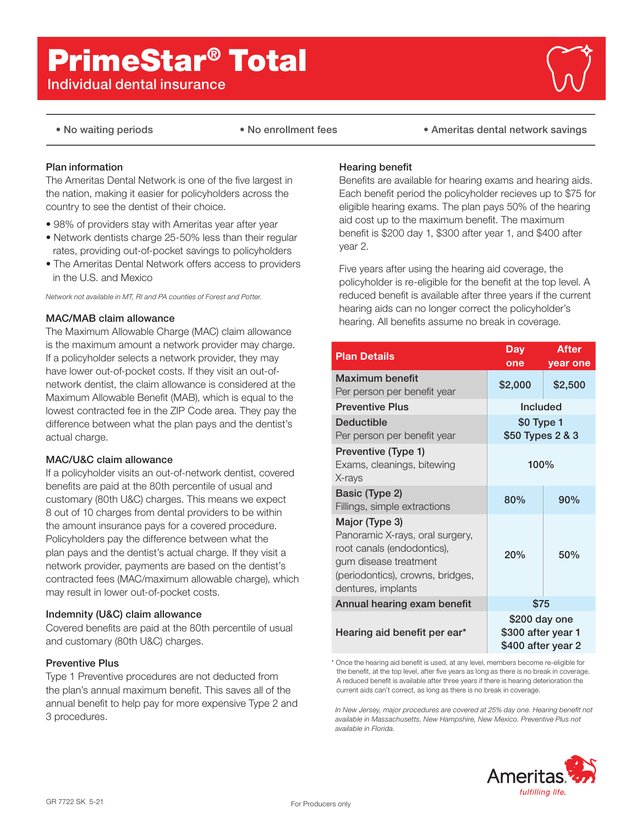# PrimeStar® Total

# Individual dental insurance



• No waiting periods • No enrollment fees • Ameritas dental network savings

# Plan information

The Ameritas Dental Network is one of the five largest in the nation, making it easier for policyholders across the country to see the dentist of their choice.

- 98% of providers stay with Ameritas year after year
- Network dentists charge 25-50% less than their regular rates, providing out-of-pocket savings to policyholders
- The Ameritas Dental Network offers access to providers in the U.S. and Mexico

*Network not available in MT, RI and PA counties of Forest and Potter.*

# MAC/MAB claim allowance

The Maximum Allowable Charge (MAC) claim allowance is the maximum amount a network provider may charge. If a policyholder selects a network provider, they may have lower out-of-pocket costs. If they visit an out-ofnetwork dentist, the claim allowance is considered at the Maximum Allowable Benefit (MAB), which is equal to the lowest contracted fee in the ZIP Code area. They pay the difference between what the plan pays and the dentist's actual charge.

# MAC/U&C claim allowance

If a policyholder visits an out-of-network dentist, covered benefits are paid at the 80th percentile of usual and customary (80th U&C) charges. This means we expect 8 out of 10 charges from dental providers to be within the amount insurance pays for a covered procedure. Policyholders pay the difference between what the plan pays and the dentist's actual charge. If they visit a network provider, payments are based on the dentist's contracted fees (MAC/maximum allowable charge), which may result in lower out-of-pocket costs.

# Indemnity (U&C) claim allowance

Covered benefits are paid at the 80th percentile of usual and customary (80th U&C) charges.

# Preventive Plus

Type 1 Preventive procedures are not deducted from the plan's annual maximum benefit. This saves all of the annual benefit to help pay for more expensive Type 2 and 3 procedures.

# Hearing benefit

Benefits are available for hearing exams and hearing aids. Each benefit period the policyholder recieves up to \$75 for eligible hearing exams. The plan pays 50% of the hearing aid cost up to the maximum benefit. The maximum benefit is \$200 day 1, \$300 after year 1, and \$400 after year 2.

Five years after using the hearing aid coverage, the policyholder is re-eligible for the benefit at the top level. A reduced benefit is available after three years if the current hearing aids can no longer correct the policyholder's hearing. All benefits assume no break in coverage.

| <b>Plan Details</b>                                                                                                                                                | Day<br>one                                                | <b>After</b><br>year one |  |
|--------------------------------------------------------------------------------------------------------------------------------------------------------------------|-----------------------------------------------------------|--------------------------|--|
| Maximum benefit<br>Per person per benefit year                                                                                                                     | \$2,000                                                   | \$2,500                  |  |
| <b>Preventive Plus</b>                                                                                                                                             | <b>Included</b>                                           |                          |  |
| <b>Deductible</b><br>Per person per benefit year                                                                                                                   | \$0 Type 1<br>\$50 Types 2 & 3                            |                          |  |
| Preventive (Type 1)<br>Exams, cleanings, bitewing<br>X-rays                                                                                                        | 100%                                                      |                          |  |
| Basic (Type 2)<br>Fillings, simple extractions                                                                                                                     | 80%                                                       | 90%                      |  |
| Major (Type 3)<br>Panoramic X-rays, oral surgery,<br>root canals (endodontics),<br>gum disease treatment<br>(periodontics), crowns, bridges,<br>dentures, implants | 20%                                                       | 50%                      |  |
| Annual hearing exam benefit                                                                                                                                        | \$75                                                      |                          |  |
| Hearing aid benefit per ear*                                                                                                                                       | \$200 day one<br>\$300 after year 1<br>\$400 after year 2 |                          |  |

\* Once the hearing aid benefit is used, at any level, members become re-eligible for the benefit, at the top level, after five years as long as there is no break in coverage. A reduced benefit is available after three years if there is hearing deterioration the current aids can't correct, as long as there is no break in coverage.

*In New Jersey, major procedures are covered at 25% day one. Hearing benefit not available in Massachusetts, New Hampshire, New Mexico. Preventive Plus not available in Florida.*

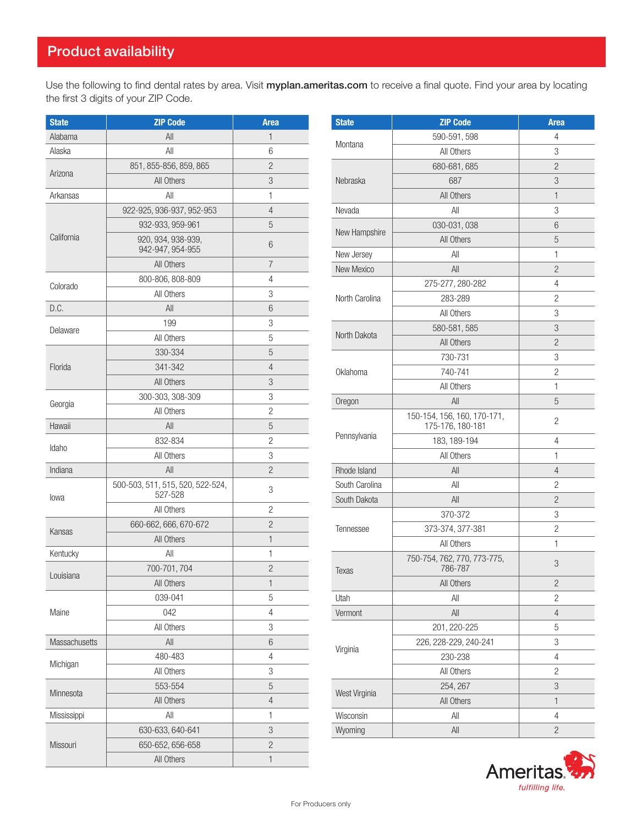Use the following to find dental rates by area. Visit myplan.ameritas.com to receive a final quote. Find your area by locating the first 3 digits of your ZIP Code.

| <b>State</b>  | <b>ZIP Code</b>                  | <b>Area</b>    | <b>State</b>   | <b>ZIP Code</b>             | <b>Area</b>    |
|---------------|----------------------------------|----------------|----------------|-----------------------------|----------------|
| Alabama       | All                              | $\mathbf{1}$   |                | 590-591, 598                | 4              |
| Alaska        | All                              | 6              | Montana        | All Others                  | $\mathsf 3$    |
|               | 851, 855-856, 859, 865           | $\overline{c}$ |                | 680-681, 685                | $\overline{c}$ |
| Arizona       | All Others                       | 3              | Nebraska       | 687                         | 3              |
| Arkansas      | All                              | 1              |                | All Others                  | $\mathbf{1}$   |
|               | 922-925, 936-937, 952-953        | $\overline{4}$ | Nevada         | All                         | 3              |
|               | 932-933, 959-961                 | 5              |                | 030-031,038                 | 6              |
| California    | 920, 934, 938-939,               | $6\,$          | New Hampshire  | All Others                  | 5              |
|               | 942-947, 954-955                 |                | New Jersey     | All                         | 1              |
|               | All Others                       | $\overline{7}$ | New Mexico     | All                         | $\overline{2}$ |
| Colorado      | 800-806, 808-809                 | $\overline{4}$ |                | 275-277, 280-282            | 4              |
|               | All Others                       | 3              | North Carolina | 283-289                     | $\mathbf{2}$   |
| D.C.          | All                              | 6              |                | All Others                  | 3              |
| Delaware      | 199                              | 3              |                | 580-581, 585                | 3              |
|               | All Others                       | 5              | North Dakota   | All Others                  | $\overline{2}$ |
|               | 330-334                          | 5              |                | 730-731                     | 3              |
| Florida       | 341-342                          | $\overline{4}$ | Oklahoma       | 740-741                     | $\overline{c}$ |
|               | All Others                       | 3              |                | All Others                  | 1              |
| Georgia       | 300-303, 308-309                 | 3              | Oregon         | All                         | 5              |
|               | All Others                       | $\overline{c}$ |                | 150-154, 156, 160, 170-171, |                |
| Hawaii        | All                              | $\overline{5}$ |                | 175-176, 180-181            | $\overline{c}$ |
| Idaho         | 832-834                          | $\overline{c}$ | Pennsylvania   | 183, 189-194                | 4              |
|               | All Others                       | 3              |                | All Others                  | 1              |
| Indiana       | All                              | $\overline{c}$ | Rhode Island   | All                         | $\overline{4}$ |
|               | 500-503, 511, 515, 520, 522-524, | 3              | South Carolina | All                         | $\overline{c}$ |
| lowa          | 527-528                          |                | South Dakota   | All                         | $\overline{c}$ |
|               | All Others                       | $\overline{c}$ |                | 370-372                     | 3              |
| Kansas        | 660-662, 666, 670-672            | $\overline{c}$ | Tennessee      | 373-374, 377-381            | $\overline{2}$ |
|               | All Others                       | $\mathbf{1}$   |                | All Others                  | $\mathbf{1}$   |
| Kentucky      | All                              | $\mathbf{1}$   |                | 750-754, 762, 770, 773-775, | 3              |
| Louisiana     | 700-701, 704                     | $\overline{c}$ | Texas          | 786-787                     |                |
|               | All Others                       | $\mathbf{1}$   |                | All Others                  | $\overline{2}$ |
|               | 039-041                          | $\overline{5}$ | Utah           | All                         | $\mathbf{2}$   |
| Maine         | 042                              | $\overline{4}$ | Vermont        | All                         | 4              |
|               | All Others                       | 3              |                | 201, 220-225                | 5              |
| Massachusetts | $\mathsf{All}$                   | $6\,$          | Virginia       | 226, 228-229, 240-241       | 3              |
| Michigan      | 480-483                          | $\overline{4}$ |                | 230-238                     | 4              |
|               | All Others                       | 3              |                | All Others                  | 2              |
| Minnesota     | 553-554                          | $\overline{5}$ | West Virginia  | 254, 267                    | 3              |
|               | All Others                       | $\overline{4}$ |                | All Others                  | $\mathbf{1}$   |
| Mississippi   | All                              | 1              | Wisconsin      | All                         | 4              |
|               | 630-633, 640-641                 | 3              | Wyoming        | $\mathsf{All}$              | $\overline{2}$ |
| Missouri      | 650-652, 656-658                 | $\overline{c}$ |                |                             |                |
|               | All Others                       | $\mathbf{1}$   |                |                             |                |

| Montana         | 590-591, 598                                    | 4              |
|-----------------|-------------------------------------------------|----------------|
|                 | All Others                                      | 3              |
|                 | 680-681, 685                                    | 2              |
| Nebraska        | 687                                             | 3              |
|                 | All Others                                      | 1              |
| Nevada          | All                                             | 3              |
|                 | 030-031,038                                     | 6              |
| New Hampshire   | All Others                                      | 5              |
| New Jersey      | All                                             | 1              |
| New Mexico      | All                                             | 2              |
|                 | 275-277, 280-282                                | 4              |
| North Carolina  | 283-289                                         | 2              |
|                 | All Others                                      | 3              |
| North Dakota    | 580-581, 585                                    | 3              |
|                 | All Others                                      | 2              |
|                 | 730-731                                         | 3              |
| <b>Oklahoma</b> | 740-741                                         | 2              |
|                 | All Others                                      | 1              |
| Oregon          | All                                             | 5              |
|                 | 150-154, 156, 160, 170-171,<br>175-176, 180-181 | $\overline{2}$ |
| Pennsylvania    | 183, 189-194                                    | 4              |
|                 | All Others                                      | 1              |
| Rhode Island    | All                                             | 4              |
| South Carolina  | All                                             | 2              |
| South Dakota    | All                                             | 2              |
|                 | 370-372                                         | 3              |
| Tennessee       | 373-374, 377-381                                | 2              |
|                 | All Others                                      | 1              |
| Texas           | 750-754, 762, 770, 773-775,<br>786-787          | 3              |
|                 | All Others                                      | $\overline{c}$ |
| Utah            | All                                             | 2              |
| Vermont         | All                                             | $\overline{4}$ |
|                 | 201, 220-225                                    | 5              |
| Virginia        | 226, 228-229, 240-241                           | 3              |
|                 | 230-238                                         | 4              |
|                 | All Others                                      | 2              |
| West Virginia   | 254, 267                                        | 3              |
|                 | All Others                                      | $\mathbf{1}$   |
| Wisconsin       | All                                             | 4              |
| Wyoming         | $\mathsf{All}$                                  | $\overline{2}$ |
|                 |                                                 |                |

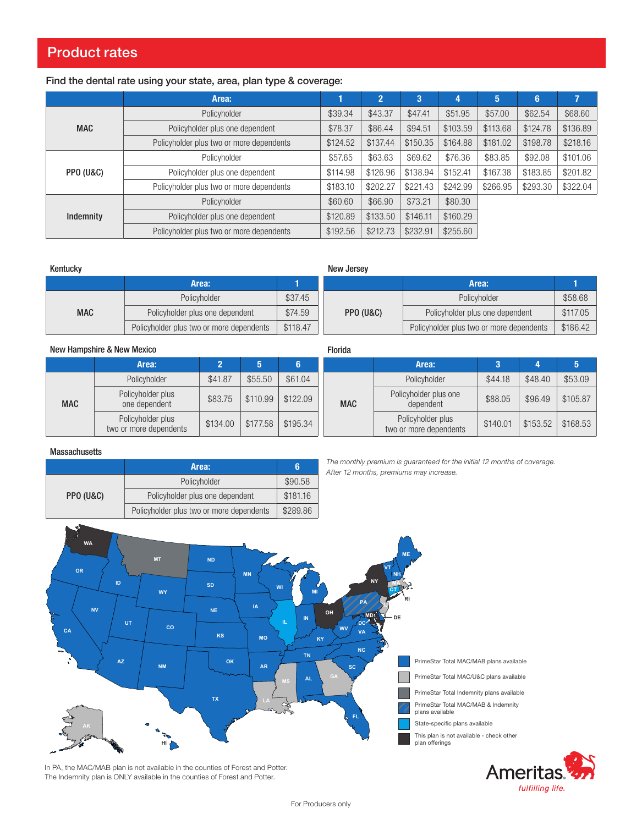# Product rates

# Find the dental rate using your state, area, plan type & coverage:

|                      | Area:                                    |          | $\mathbf{2}^{\prime}$ | 3        | 4        | 5        | $6\phantom{1}6$ | 7        |
|----------------------|------------------------------------------|----------|-----------------------|----------|----------|----------|-----------------|----------|
|                      | Policyholder                             | \$39.34  | \$43.37               | \$47.41  | \$51.95  | \$57.00  | \$62.54         | \$68.60  |
| <b>MAC</b>           | Policyholder plus one dependent          | \$78.37  | \$86.44               | \$94.51  | \$103.59 | \$113.68 | \$124.78        | \$136.89 |
|                      | Policyholder plus two or more dependents | \$124.52 | \$137.44              | \$150.35 | \$164.88 | \$181.02 | \$198.78        | \$218.16 |
|                      | Policyholder                             | \$57.65  | \$63.63               | \$69.62  | \$76.36  | \$83.85  | \$92.08         | \$101.06 |
| <b>PPO (U&amp;C)</b> | Policyholder plus one dependent          | \$114.98 | \$126.96              | \$138.94 | \$152.41 | \$167.38 | \$183.85        | \$201.82 |
|                      | Policyholder plus two or more dependents | \$183.10 | \$202.27              | \$221.43 | \$242.99 | \$266.95 | \$293.30        | \$322.04 |
|                      | Policyholder                             | \$60.60  | \$66.90               | \$73.21  | \$80.30  |          |                 |          |
| Indemnity            | Policyholder plus one dependent          | \$120.89 | \$133.50              | \$146.11 | \$160.29 |          |                 |          |
|                      | Policyholder plus two or more dependents | \$192.56 | \$212.73              | \$232.91 | \$255.60 |          |                 |          |

#### Kentucky

New Jersey

Florida

**MAC** 

|            | Area:                                    |          |           | Area:                                    |          |
|------------|------------------------------------------|----------|-----------|------------------------------------------|----------|
|            | Policyholder                             | \$37.45  |           | Policyholder                             | \$58.68  |
| <b>MAC</b> | Policyholder plus one dependent          | \$74.59  | PPO (U&C) | Policyholder plus one dependent          | \$117.05 |
|            | Policyholder plus two or more dependents | \$118.47 |           | Policyholder plus two or more dependents | \$186.42 |

### New Hampshire & New Mexico

|            | Area:                                       |          | 5        | 6        |
|------------|---------------------------------------------|----------|----------|----------|
|            | Policyholder                                | \$41.87  | \$55.50  | \$61.04  |
| <b>MAC</b> | Policyholder plus<br>one dependent          | \$83.75  | \$110.99 | \$122.09 |
|            | Policyholder plus<br>two or more dependents | \$134.00 | \$177.58 | \$195.34 |

| The monthly premium is quaranteed for the initial 12 months of coverage. |  |
|--------------------------------------------------------------------------|--|

Area: 3 4 5

Policyholder | \$44.18 | \$48.40 | \$53.09

griolder plus one | \$88.05 | \$96.49 | \$105.87

POIICYHOIDE PIUS<br>two or more dependents  $\begin{array}{|c|c|c|c|c|c|}\n\hline\n\text{$168.53}\n\end{array}$ 

## **Massachusetts**

|           | Area:                                    | 6        |
|-----------|------------------------------------------|----------|
|           | Policyholder                             | \$90.58  |
| PPO (U&C) | Policyholder plus one dependent          | \$181.16 |
|           | Policyholder plus two or more dependents | \$289.86 |

*The monthly premium is guaranteed for the initial 12 months of coverage. After 12 months, premiums may increase.*

Policyholder plus one

Policyholder plus





Amerita fulfilling life.